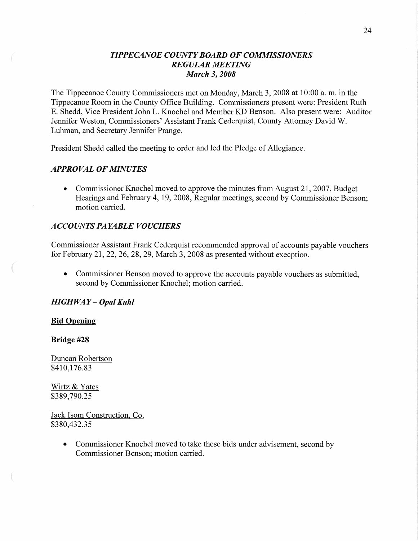#### *TIPPE CANOE COUNTY BOARD* OF *COMMISSIONERS REGULAR MEETING March* 3, *2008*

The Tippecanoe County Commissioners met on Monday, March 3, 2008 at 10:00 a. m. in the Tippecanoe Room in the County Office Building. Commissioners present were: President Ruth B. Shedd, Vice President John L. Knochel and Member KD Benson. Also present were: Auditor Jennifer Weston, Commissioners' Assistant Frank Cederquist, County Attorney David W. Luhman, and Secretary Jennifer Prange.

President Shedd called the meeting to order and led the Pledge of Allegiance.

### *APPROVAL* OF *MINUTES*

**0** Commissioner Knochel moved to approve the minutes from August 21, 2007, Budget Hearings and February 4, 19, 2008, Regular meetings, second by Commissioner Benson; motion carried.

#### *ACCOUNTS PAYABLE VOUCHERS*

Commissioner Assistant Frank Cederquist recommended approval of accounts payable vouchers for February 21, 22, 26, 28, 29, March 3, 2008 as presented Without exception.

**0** Commissioner Benson moved to approve the accounts payable vouchers as submitted, second by Commissioner Knochel; motion carried.

#### *HIGHWAY* **—** *Opal Kuhl*

#### **Bid Opening**

**Bridge** #28

Duncan Robertson \$410,176.83

Wirtz & Yates \$389,790.25

Jack Isom Construction. Co. \$380,432.35

> • Commissioner Knochel moved to take these bids under advisement, second by Commissioner Benson; motion carried.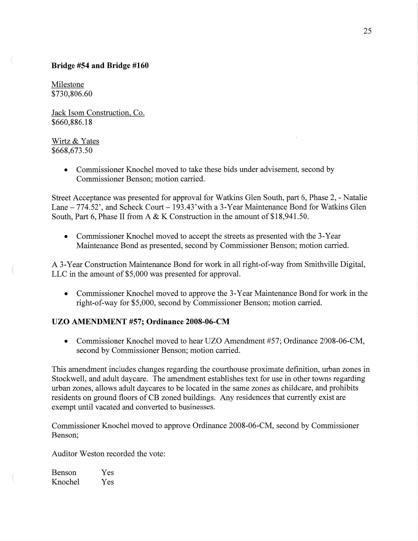## **Bridge** #54 and **Bridge #160**

Milestone \$730,806.60

Jack Isom Construction, Co. \$660,886.18

## Wirtz & Yates \$668,673.50

**0** Commissioner Knochel moved to take these bids under advisement, second by Commissioner Benson; motion carried.

Street Acceptance was presented for approval for Watkins Glen South, part 6, Phase 2, *-* Natalie Lane — 774.52', and Scheck Court — 193.43'With a 3-Year Maintenance Bond for Watkins Glen South, Part 6, Phase II from A & K Construction in the amount of \$18,941.50.

**0** Commissioner Knochel moved to accept the streets as presented with the 3-Year Maintenance Bond as presented, second by Commissioner Benson; motion carried.

A 3-Year Construction Maintenance Bond for work in all right-of—way from Smithville Digital, LLC in the amount of \$5,000 was presented for approval.

**0** Commissioner Knochel moved to approve the 3—Year Maintenance Bond for work in the right-of-way for \$5,000, second by Commissioner Benson; motion carried.

# UZO **ANIENDMENT #57; Ordinance 2008-06-CM**

• Commissioner Knochel moved to hear UZO Amendment #57; Ordinance 2008-06-CM, second by Commissioner Benson; motion carried.

This amendment includes changes regarding the courthouse proximate definition, urban zones in Stockwell, and adult daycare. The amendment establishes text for use in other towns regarding urban zones, allows adult daycares to be located in the same zones as childcare, and prohibits residents on ground floors of CB zoned buildings. Any residences that currently exist are exempt until vacated and converted to businesses.

Commissioner Knochel moved to approve Ordinance 2008-06-CM, second by Commissioner Benson;

Auditor Weston recorded the vote:

Benson Yes Knochel Yes

 $\bigg($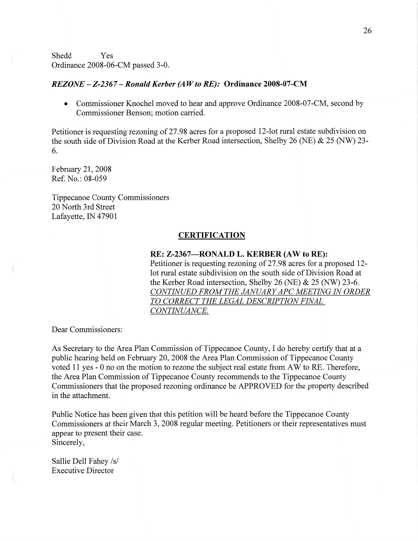Shedd Yes Ordinance 2008-06-CM passed 3-0.

#### *REZONE* **—** *Z-236 7* — *Ronald Kerber (AWto RE):* **Ordinance 2008-07-CM**

• Commissioner Knochel moved to hear and approve Ordinance 2008-07-CM, second by Commissioner Benson; motion carried.

Petitioner is requesting rezoning of 27.98 acres for a proposed 12-lot rural estate subdivision on the south side of Division Road at the Kerber Road intersection, Shelby 26 (NE) & 25 (NW) 23-6.

February 21, 2008 Ref. No.: 08-059

 $\big($ 

Tippecanoe County Commissioners 20 North 3rd Street Lafayette, IN 47901

#### **CERTIFICATION**

#### RE: **Z-2367—RONALD** L. **KERBER** (AW to **RE):**

Petitioner is requesting rezoning of 27.98 acres for a proposed 12 lot rural estate subdivision on the south side of Division Road at the Kerber Road intersection, Shelby 26 (NE) & 25 (NW) 23-6. **CONTINUED FROM THE JANUARY APC MEETING IN ORDER** *T 0 CORRECT* THE *LEGAL DESCRIPTION FINAL*   $CONTINUANCE.$ 

Dear Commissioners:

As Secretary to the Area Plan Commission of Tippecanoe County, I do hereby certify that at a public hearing held on February 20, 2008 the Area Plan Commission of Tippecanoe County voted 11 yes *-* 0 no on the motion to rezone the subject real estate from AW to RE. Therefore, the Area Plan Commission of Tippecanoe County recommends to the Tippecanoe County Commissioners that the proposed rezoning ordinance be APPROVED for the property described in the attachment.

Public Notice has been given **that** this petition will be heard before the Tippecanoe County Commissioners at their March 3, 2008 regular meeting. Petitioners or their representatives must appear to present their case. Sincerely,

Sallie Dell Fahey /s/ Executive Director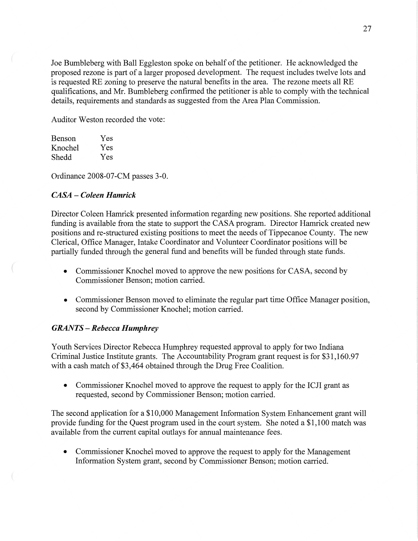Joe Bumbleberg with Ball Eggleston spoke on behalf of the petitioner. He acknowledged the proposed rezone is part of a larger proposed development. The request includes twelve lots and is requested RE zoning to preserve the natural benefits in the area. The rezone meets all RE qualifications, and Mr. Bumbleberg confirmed the petitioner is able to comply with the technical details, requirements and standards as suggested from the Area Plan Commission.

Auditor Weston recorded the vote:

| <b>Benson</b> | Yes |
|---------------|-----|
| Knochel       | Yes |
| Shedd         | Yes |

Ordinance 2008-07-CM **passes** 3-0.

## *CASA* — *Coleen Hamrick*

Director Coleen Hamrick presented **information** regarding new positions. She reported additional funding is available from the state to support the CASA program. Director Hamrick created new positions and re-structured existing positions to meet the needs of Tippecanoe County. The new Clerical, Office Manager, Intake Coordinator and Volunteer Coordinator positions will be partially funded through the general **fund** and benefits will be funded through state **funds.** 

- **0** Commissioner Knochel moved to approve the new positions for **CASA,** second by Commissioner Benson; motion carried.
- **0** Commissioner Benson moved to eliminate the regular part time Office Manager position, second by Commissioner Knochel; **motion** carried.

## *GRANTS* **—** *Rebecca Humphrey*

Youth Services Director Rebecca Humphrey requested approval to apply for two Indiana Criminal Justice Institute grants. The Accountability Program grant request is for \$31,160.97 with a cash match of \$3,464 obtained through the Drug Free Coalition.

• Commissioner Knochel moved to approve the request to apply for the ICJI grant as requested, second by Commissioner Benson; motion carried.

The second application for a \$10,000 Management Information System **Enhancement** grant will provide funding for the Quest program used in the court system. She noted **a** \$1,100 match was available from the current capital outlays for annual maintenance fees.

**0** Commissioner Knochel moved to approve the request to apply for the Management Information System grant, second by Commissioner Benson; motion carried.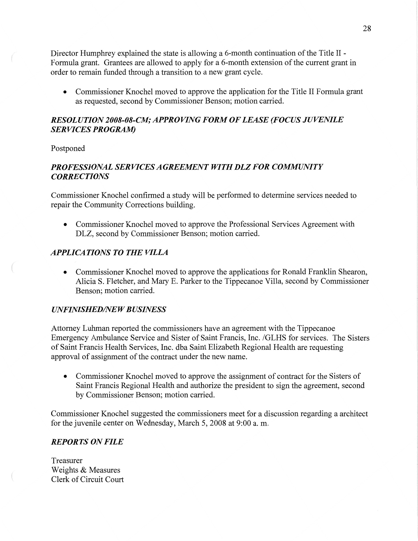Director Humphrey explained the state is allowing a 6-month continuation of the Title II *-* Formula grant. Grantees are allowed to apply for a 6-month extension of the current grant in order to **remain** funded through **a** transition to a new grant cycle.

*0* Commissioner Knochel **moved** to approve the application for the Title II Formula gran<sup>t</sup> as requested, second by Commissioner Benson; motion carried.

# *RESOLUTION 2008-08-C1W; APPROVING FORM* OF *LEASE (FOCUS JUVENILE*  SER VI CES *PROGRAM*

Postponed

# *PROFESSIONAL SERVICES AGREEMENT WITH* DLZ FOR *COMMUNI T Y CORRECTIONS*

Commissioner Knochel confirmed a study will be performed to determine services needed to repair the Community Corrections building.

**0** Commissioner Knochel moved to approve the Professional Services Agreement with DLZ, second by Commissioner Benson; motion carried.

# *APPLICATIONS TO THE VILLA*

*0* Commissioner Knochel moved to approve the applications for Ronald Franklin Shearon, Alicia S. Fletcher, and Mary E. Parker to the Tippecanoe Villa, second by Commissioner Benson; motion carried.

## *UNFINISHED/NEW BUSINESS*

Attorney **Luhman** reported the commissioners have an agreement with the Tippecanoe Emergency Ambulance Service and Sister of Saint Francis, **Inc.** /GLHS for services. The Sisters of Saint Francis Health Services, **Inc.** dba Saint Elizabeth Regional Health are requesting approval of assignment of the contract under the new name.

• Commissioner Knochel moved to approve the assignment of contract for the Sisters of Saint Francis Regional **Health** and authorize the president to sign the agreement, second by Commissioner Benson; motion carried.

Commissioner Knochel suggested the commissioners meet for a discussion regarding a architect for the juvenile center on Wednesday, March 5, 2008 at 9:00 a. m.

## *REPORTS* ON *FILE*

Treasurer Weights & Measures Clerk of Circuit Court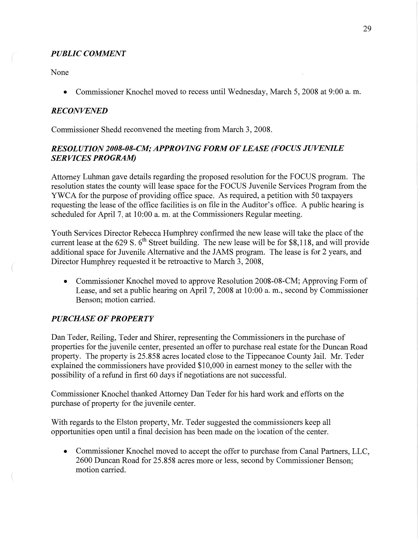## *PUBLIC COMMENT*

None

**0** Commissioner Knochel moved to recess until Wednesday, March 5, 2008 at 9:00 a. m.

### *RECONVFNED*

Commissioner Shedd reconvened the meeting from March 3, 2008.

## *RESOL U T* ION *2008-08-C1W; APPROVING FORM* OF *LEASE (FOCUS JUVENILE*  SER *VICES PROGRAM)*

Attorney Luhman gave details regarding the proposed resolution for the FOCUS program. The resolution states the county will lease space for the FOCUS Juvenile Services Program from the YWCA for the purpose of providing office space. As required, a petition with 50 taxpayers requesting the lease of the office facilities is on file in the Auditor's **office.** A public hearing is scheduled for April 7, at **10:00** a. m. at the Commissioners Regular meeting.

Youth Services Director Rebecca Humphrey confirmed the new lease will take the place of the current lease at the 629 S.  $6<sup>th</sup>$  Street building. The new lease will be for \$8,118, and will provide additional space for Juvenile Alternative and the JAMS program. The lease is for 2 years, and Director Humphrey requested it be retroactive to March 3, 2008,

*0* Commissioner Knochel moved to approve Resolution 2008-08-CM; Approving Form of Lease, and set a public hearing on **April** 7, 2008 at 10:00 a. m., second by Commissioner Benson; motion carried.

## *PURCHASE* OF *PROPERTY*

Dan Teder, Reiling, Teder and Shirer, representing the Commissioners in the purchase of properties for the juvenile center, presented an offer to purchase real estate for the Duncan Road property. The property is 25.858 acres located close to the Tippecanoe County Jail. Mr. Teder explained the commissioners have provided \$10,000 in earnest money to the seller with the possibility of a refund in first 60 days if negotiations are not successful.

Commissioner Knochel thanked Attorney Dan Teder for his hard work and efforts on the purchase of property for the juvenile center.

With regards to the Elston property, Mr. Teder suggested the commissioners keep all opportunities open until a final decision has been made on the location of the center.

**0** Commissioner Knochel moved to accept the offer to purchase from **Canal** Partners, LLC, 2600 Duncan Road' for 25.858 acres more or less, second by Commissioner Benson; **motion** carried.